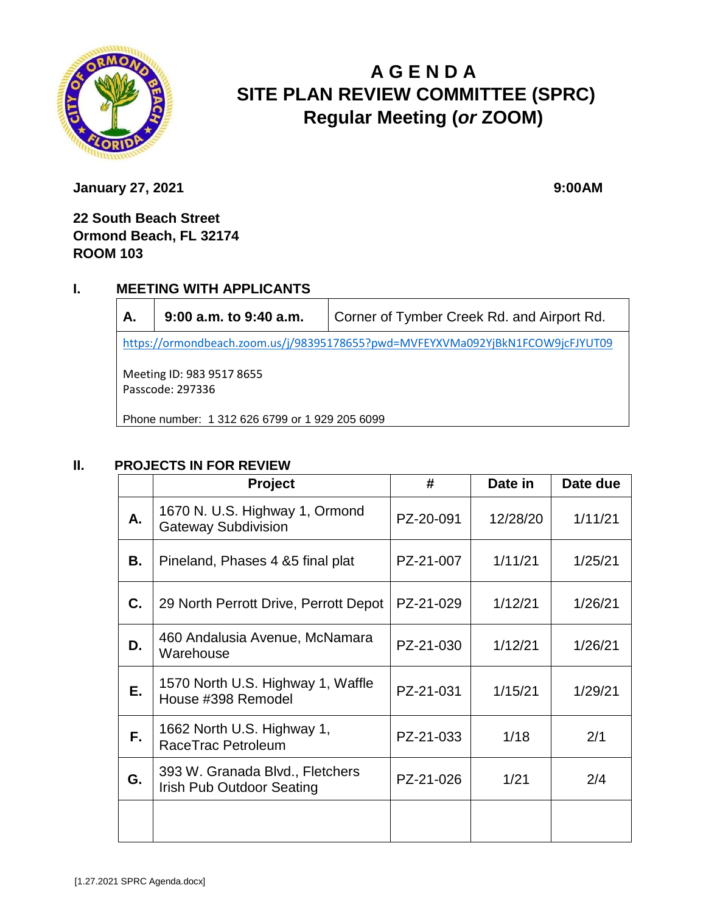

# **A G E N D A SITE PLAN REVIEW COMMITTEE (SPRC) Regular Meeting (***or* **ZOOM)**

**January 27, 2021** 9:00AM

**22 South Beach Street Ormond Beach, FL 32174 ROOM 103**

### **I. MEETING WITH APPLICANTS**

**A. 9:00 a.m. to 9:40 a.m.** Corner of Tymber Creek Rd. and Airport Rd.

<https://ormondbeach.zoom.us/j/98395178655?pwd=MVFEYXVMa092YjBkN1FCOW9jcFJYUT09>

Meeting ID: 983 9517 8655 Passcode: 297336

Phone number: 1 312 626 6799 or 1 929 205 6099

#### **II. PROJECTS IN FOR REVIEW**

|    | <b>Project</b>                                                      | #         | Date in  | Date due |
|----|---------------------------------------------------------------------|-----------|----------|----------|
| А. | 1670 N. U.S. Highway 1, Ormond<br><b>Gateway Subdivision</b>        | PZ-20-091 | 12/28/20 | 1/11/21  |
| В. | Pineland, Phases 4 & 5 final plat                                   | PZ-21-007 | 1/11/21  | 1/25/21  |
| C. | 29 North Perrott Drive, Perrott Depot                               | PZ-21-029 | 1/12/21  | 1/26/21  |
| D. | 460 Andalusia Avenue, McNamara<br>Warehouse                         | PZ-21-030 | 1/12/21  | 1/26/21  |
| Е. | 1570 North U.S. Highway 1, Waffle<br>House #398 Remodel             | PZ-21-031 | 1/15/21  | 1/29/21  |
| F. | 1662 North U.S. Highway 1,<br>RaceTrac Petroleum                    | PZ-21-033 | 1/18     | 2/1      |
| G. | 393 W. Granada Blvd., Fletchers<br><b>Irish Pub Outdoor Seating</b> | PZ-21-026 | 1/21     | 2/4      |
|    |                                                                     |           |          |          |